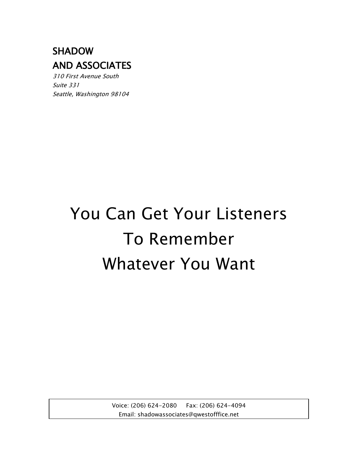# SHADOW AND ASSOCIATES

310 First Avenue South Suite 331 Seattle, Washington 98104

# You Can Get Your Listeners To Remember Whatever You Want

Voice: (206) 624-2080 Fax: (206) 624-4094 Email: shadowassociates@qwestofffice.net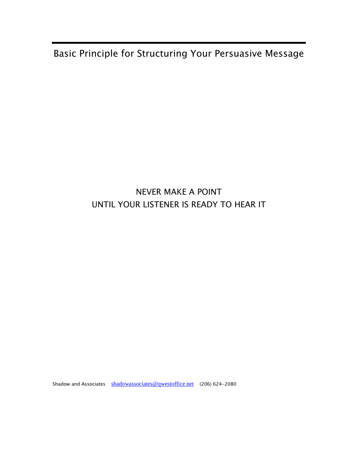Basic Principle for Structuring Your Persuasive Message

## NEVER MAKE A POINT UNTIL YOUR LISTENER IS READY TO HEAR IT

Shadow and Associates [shadowassociates@qwestoffice.net](mailto:shadowassociates@qwestoffice.net) (206) 624-2080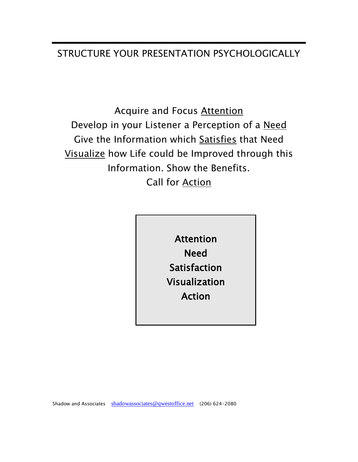## STRUCTURE YOUR PRESENTATION PSYCHOLOGICALLY

Acquire and Focus Attention Develop in your Listener a Perception of a Need Give the Information which Satisfies that Need Visualize how Life could be Improved through this Information. Show the Benefits. Call for Action

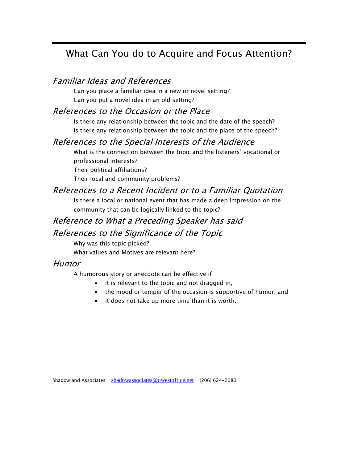## What Can You do to Acquire and Focus Attention?

#### Familiar Ideas and References

Can you place a familiar idea in a new or novel setting? Can you put a novel idea in an old setting?

#### References to the Occasion or the Place

Is there any relationship between the topic and the date of the speech? Is there any relationship between the topic and the place of the speech?

#### References to the Special Interests of the Audience

What is the connection between the topic and the listeners' vocational or professional interests?

Their political affiliations?

Their local and community problems?

#### References to a Recent Incident or to a Familiar Quotation

Is there a local or national event that has made a deep impression on the community that can be logically linked to the topic?

#### Reference to What a Preceding Speaker has said

#### References to the Significance of the Topic

Why was this topic picked?

What values and Motives are relevant here?

#### Humor

A humorous story or anecdote can be effective if

- it is relevant to the topic and not dragged in,
- the mood or temper of the occasion is supportive of humor, and
- it does not take up more time than it is worth.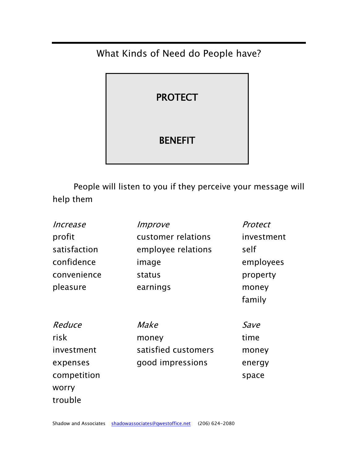## What Kinds of Need do People have?



People will listen to you if they perceive your message will help them

| Increase     | Improve             | Protect    |
|--------------|---------------------|------------|
| profit       | customer relations  | investment |
| satisfaction | employee relations  | self       |
| confidence   | image               | employees  |
| convenience  | status              | property   |
| pleasure     | earnings            | money      |
|              |                     | family     |
| Reduce       | <i>Make</i>         | Save       |
| risk         | money               | time       |
| investment   | satisfied customers | money      |
| expenses     | good impressions    | energy     |
| competition  |                     | space      |
| worry        |                     |            |
| trouble      |                     |            |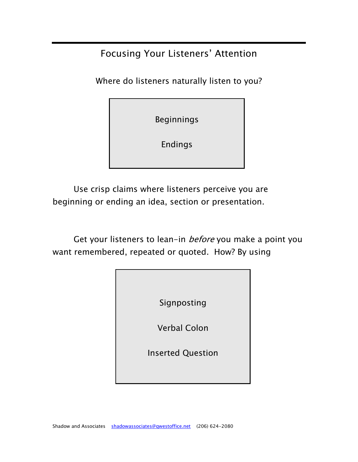Focusing Your Listeners' Attention

Where do listeners naturally listen to you?

Beginnings

Endings

Use crisp claims where listeners perceive you are beginning or ending an idea, section or presentation.

Get your listeners to lean-in *before* you make a point you want remembered, repeated or quoted. How? By using

| Signposting              |  |
|--------------------------|--|
| <b>Verbal Colon</b>      |  |
| <b>Inserted Question</b> |  |
|                          |  |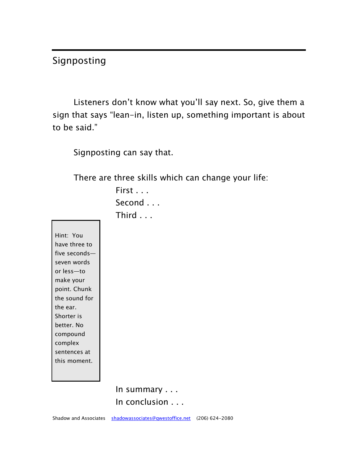## Signposting

Listeners don't know what you'll say next. So, give them a sign that says "lean-in, listen up, something important is about to be said."

Signposting can say that.

There are three skills which can change your life:

First . . . Second . . . Third . . .

Hint: You have three to five seconds seven words or less—to make your point. Chunk the sound for the ear. Shorter is better. No compound complex sentences at this moment.

> In summary . . . In conclusion . . .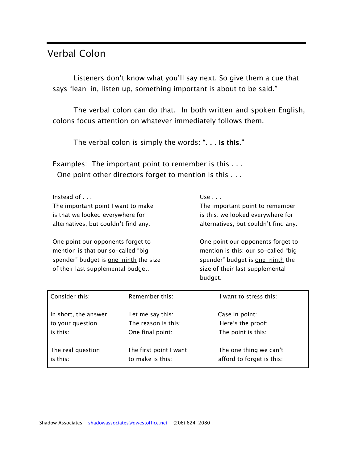## Verbal Colon

Listeners don't know what you'll say next. So give them a cue that says "lean-in, listen up, something important is about to be said."

The verbal colon can do that. In both written and spoken English, colons focus attention on whatever immediately follows them.

The verbal colon is simply the words: ". . . is this."

Examples: The important point to remember is this . . . One point other directors forget to mention is this . . .

| Instead of $\ldots$                  | Use $\ldots$        |
|--------------------------------------|---------------------|
| The important point I want to make   | The important poi   |
| is that we looked everywhere for     | is this: we looked  |
| alternatives, but couldn't find any. | alternatives, but c |
|                                      |                     |

mention is that our so-called "big mention is this: our so-called "big spender" budget is <u>one-ninth</u> the size spender" budget is <u>one-ninth</u> the of their last supplemental budget. Size of their last supplemental

int to remember everywhere for ouldn't find any.

One point our opponents forget to One point our opponents forget to budget.

| Consider this:       | Remember this:         | want to stress this:      |
|----------------------|------------------------|---------------------------|
| In short, the answer | Let me say this:       | Case in point:            |
| to your question     | The reason is this:    | Here's the proof:         |
| is this:             | One final point:       | The point is this:        |
| The real question    | The first point I want | The one thing we can't    |
| is this:             | to make is this:       | afford to forget is this: |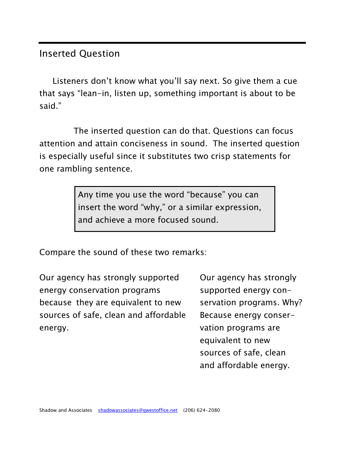### Inserted Question

Listeners don't know what you'll say next. So give them a cue that says "lean-in, listen up, something important is about to be said."

The inserted question can do that. Questions can focus attention and attain conciseness in sound. The inserted question is especially useful since it substitutes two crisp statements for one rambling sentence.

> Any time you use the word "because" you can insert the word "why," or a similar expression, and achieve a more focused sound.

Compare the sound of these two remarks:

Our agency has strongly supported Our agency has strongly energy conservation programs supported energy conbecause they are equivalent to new servation programs. Why? sources of safe, clean and affordable Because energy conserenergy. The contract of the contract of the vation programs are variable to the variable variable variable variable variable variable variable variable variable variable variable variable variable variable variable variabl

equivalent to new sources of safe, clean and affordable energy.